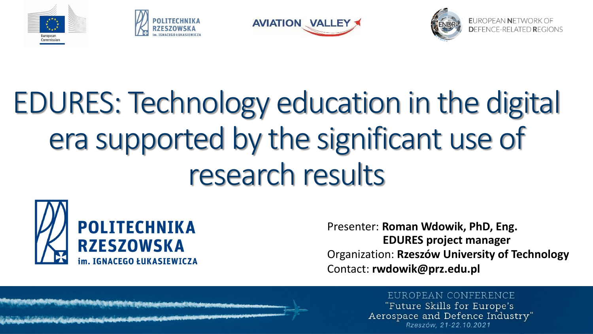







EUROPFAN NETWORK OF

# EDURES: Technology education in the digital era supported by the significant use of research results



Presenter: **Roman Wdowik, PhD, Eng. EDURES project manager** Organization: **Rzeszów University of Technology** Contact: **rwdowik@prz.edu.pl**

### EUROPEAN CONFERENCE

"Future Skills for Europe's Aerospace and Defence Industry" Rzeszów. 21-22.10.2021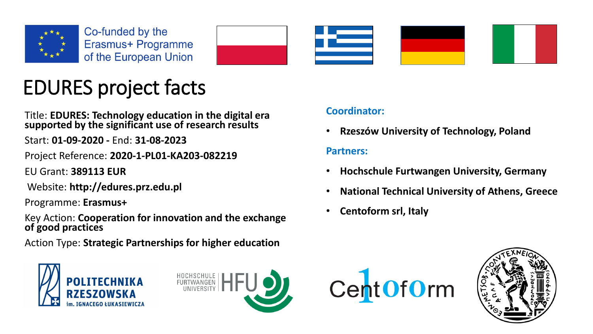



## EDURES project facts

Title: **EDURES: Technology education in the digital era supported by the significant use of research results**

Start: **01-09-2020 -** End: **31-08-2023**

Project Reference: **2020-1-PL01-KA203-082219**

EU Grant: **389113 EUR**

Website: **http://edures.prz.edu.pl**

Programme: **Erasmus+**

Key Action: **Cooperation for innovation and the exchange of good practices**

Action Type: **Strategic Partnerships for higher education**





### **Coordinator:**

• **Rzeszów University of Technology, Poland**

### **Partners:**

- **Hochschule Furtwangen University, Germany**
- **National Technical University of Athens, Greece**
- **Centoform srl, Italy**



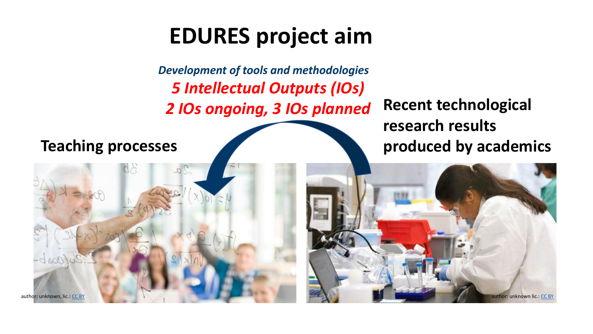## **EDURES project aim**

*Development of tools and methodologies 5 Intellectual Outputs (IOs) 2 IOs ongoing, 3 IOs planned*

author: unknown, lic.: <u>[CC BY](https://creativecommons.org/licenses/by/3.0/)</u> author: unknown lic.: <u>CC BY</u>

**Recent technological research results Teaching processes produced by** academics

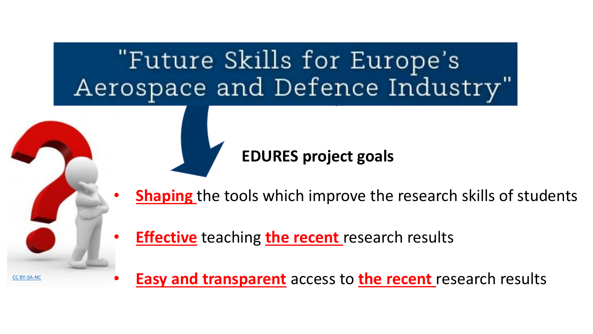## "Future Skills for Europe's Aerospace and Defence Industry"

### **EDURES project goals**

- **Shaping** the tools which improve the research skills of students
- **Effective** teaching **the recent** research results

[CC BY-SA-NC](https://creativecommons.org/licenses/by-nc-sa/3.0/)

• **Easy and transparent** access to **the recent** research results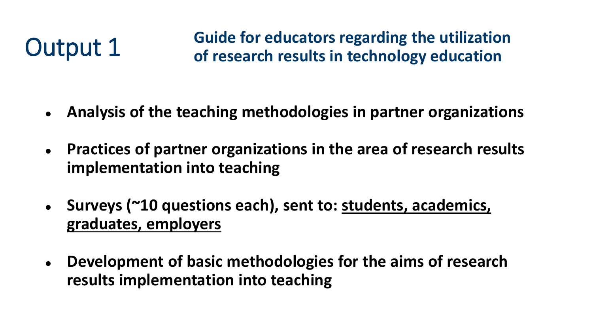Output 1 Guide for educators regarding the utilization<br>
of research results in technology education

- **Analysis of the teaching methodologies in partner organizations**
- **Practices of partner organizations in the area of research results implementation into teaching**
- **Surveys (~10 questions each), sent to: students, academics, graduates, employers**
- **Development of basic methodologies for the aims of research results implementation into teaching**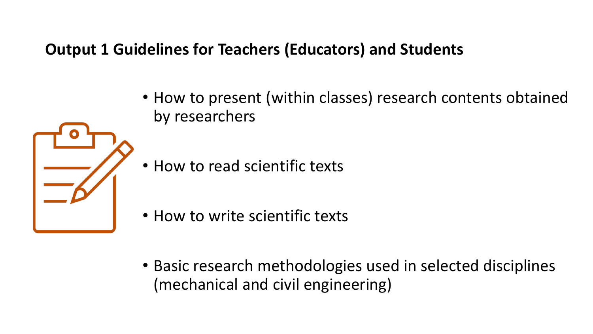### **Output 1 Guidelines for Teachers (Educators) and Students**

- How to present (within classes) research contents obtained by researchers
- How to read scientific texts
- How to write scientific texts
- Basic research methodologies used in selected disciplines (mechanical and civil engineering)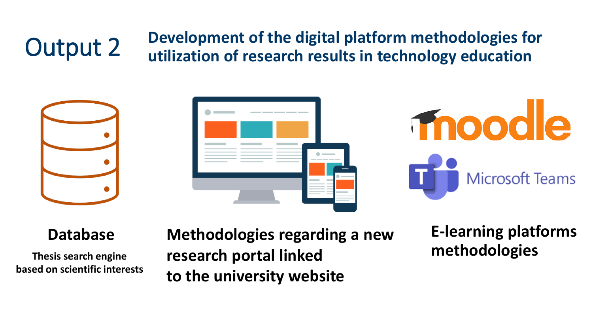### **Output 2** Development of the digital platform methodologies for<br> **Output 2** Intilization of research results in technology education **utilization of research results in technology education**





**Thesis search engine based on scientific interests**

**Database Methodologies regarding a new research portal linked to the university website**

**E-learning platforms methodologies**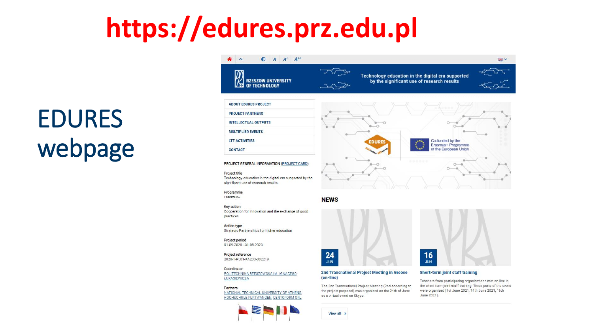## **https://edures.prz.edu.pl**

## EDURES webpage

### 谷 へ  $A \rightarrow A^+ A^+$



**ABOUT EDURES PROJECT PROJECT PARTNERS INTELLECTUAL OUTPUTS MULTIPLIER EVENTS LTT ACTIVITIES** 

Technology education in the digital era supported by the significant use of research results



■ v



PROJECT GENERAL INFORMATION (PROJECT CARD)

### Project title

**CONTACT** 

Technology education in the digital era supported by the significant use of research results

### Programme

Erasmus+

### **Key action**

Cooperation for innovation and the exchange of good practices

### **Action type** Strategic Partnerships for higher education

Project period 01-09-2020 - 31-08-2023

Project reference 2020-1-PL01-KA203-082219

### Coordinator POLITECHNIKA RZESZOWSKA IM. IGNACEGO ŁUKASIEWICZA

Partners NATIONAL TECHNICAL UNIVERSITY OF ATHENS. HOCHSCHULE FURTWANGEN, CENTOFORM SRL







### **Short-term joint staff training**

Teachers from participating organizations met on-line in the short-term joint staff training. Three parts of the event were organized (1st June 2021, 14th June 2021, 16th June 2021).



 $24$ 

**JUN** 

(on-line)

as a virtual event on Skype.

View all >

2nd Transnational Project Meeting in Greece

The 2nd Transnational Project Meeting (2nd according to

the project proposal) was organized on the 24th of June